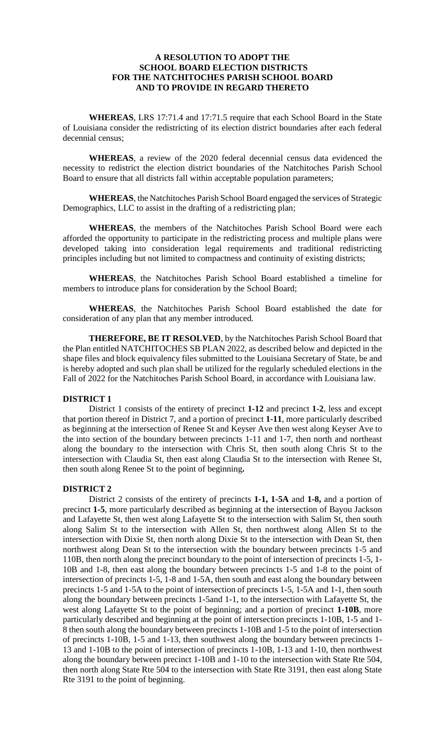# **A RESOLUTION TO ADOPT THE SCHOOL BOARD ELECTION DISTRICTS FOR THE NATCHITOCHES PARISH SCHOOL BOARD AND TO PROVIDE IN REGARD THERETO**

**WHEREAS**, LRS 17:71.4 and 17:71.5 require that each School Board in the State of Louisiana consider the redistricting of its election district boundaries after each federal decennial census;

**WHEREAS**, a review of the 2020 federal decennial census data evidenced the necessity to redistrict the election district boundaries of the Natchitoches Parish School Board to ensure that all districts fall within acceptable population parameters;

**WHEREAS**, the Natchitoches Parish School Board engaged the services of Strategic Demographics, LLC to assist in the drafting of a redistricting plan;

**WHEREAS**, the members of the Natchitoches Parish School Board were each afforded the opportunity to participate in the redistricting process and multiple plans were developed taking into consideration legal requirements and traditional redistricting principles including but not limited to compactness and continuity of existing districts;

**WHEREAS**, the Natchitoches Parish School Board established a timeline for members to introduce plans for consideration by the School Board;

**WHEREAS**, the Natchitoches Parish School Board established the date for consideration of any plan that any member introduced.

**THEREFORE, BE IT RESOLVED**, by the Natchitoches Parish School Board that the Plan entitled NATCHITOCHES SB PLAN 2022, as described below and depicted in the shape files and block equivalency files submitted to the Louisiana Secretary of State, be and is hereby adopted and such plan shall be utilized for the regularly scheduled elections in the Fall of 2022 for the Natchitoches Parish School Board, in accordance with Louisiana law.

# **DISTRICT 1**

District 1 consists of the entirety of precinct **1-12** and precinct **1-2**, less and except that portion thereof in District 7, and a portion of precinct **1-11**, more particularly described as beginning at the intersection of Renee St and Keyser Ave then west along Keyser Ave to the into section of the boundary between precincts 1-11 and 1-7, then north and northeast along the boundary to the intersection with Chris St, then south along Chris St to the intersection with Claudia St, then east along Claudia St to the intersection with Renee St, then south along Renee St to the point of beginning**.** 

# **DISTRICT 2**

District 2 consists of the entirety of precincts **1-1, 1-5A** and **1-8,** and a portion of precinct **1-5**, more particularly described as beginning at the intersection of Bayou Jackson and Lafayette St, then west along Lafayette St to the intersection with Salim St, then south along Salim St to the intersection with Allen St, then northwest along Allen St to the intersection with Dixie St, then north along Dixie St to the intersection with Dean St, then northwest along Dean St to the intersection with the boundary between precincts 1-5 and 110B, then north along the precinct boundary to the point of intersection of precincts 1-5, 1- 10B and 1-8, then east along the boundary between precincts 1-5 and 1-8 to the point of intersection of precincts 1-5, 1-8 and 1-5A, then south and east along the boundary between precincts 1-5 and 1-5A to the point of intersection of precincts 1-5, 1-5A and 1-1, then south along the boundary between precincts 1-5and 1-1, to the intersection with Lafayette St, the west along Lafayette St to the point of beginning; and a portion of precinct **1-10B**, more particularly described and beginning at the point of intersection precincts 1-10B, 1-5 and 1- 8 then south along the boundary between precincts 1-10B and 1-5 to the point of intersection of precincts 1-10B, 1-5 and 1-13, then southwest along the boundary between precincts 1- 13 and 1-10B to the point of intersection of precincts 1-10B, 1-13 and 1-10, then northwest along the boundary between precinct 1-10B and 1-10 to the intersection with State Rte 504, then north along State Rte 504 to the intersection with State Rte 3191, then east along State Rte 3191 to the point of beginning.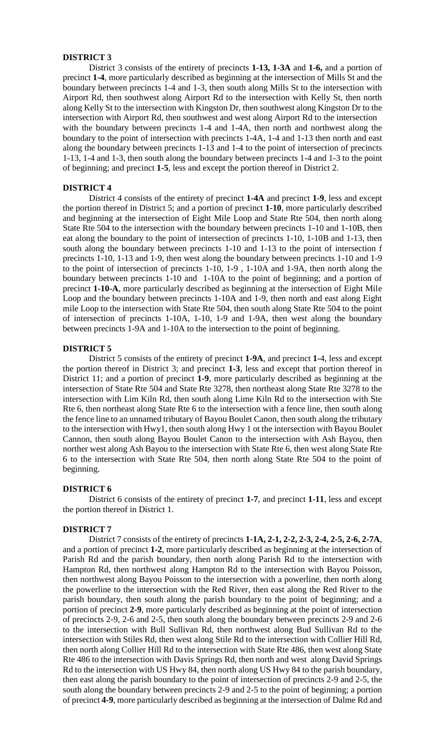# **DISTRICT 3**

District 3 consists of the entirety of precincts **1-13, 1-3A** and **1-6,** and a portion of precinct **1-4**, more particularly described as beginning at the intersection of Mills St and the boundary between precincts 1-4 and 1-3, then south along Mills St to the intersection with Airport Rd, then southwest along Airport Rd to the intersection with Kelly St, then north along Kelly St to the intersection with Kingston Dr, then southwest along Kingston Dr to the intersection with Airport Rd, then southwest and west along Airport Rd to the intersection with the boundary between precincts 1-4 and 1-4A, then north and northwest along the boundary to the point of intersection with precincts 1-4A, 1-4 and 1-13 then north and east along the boundary between precincts 1-13 and 1-4 to the point of intersection of precincts 1-13, 1-4 and 1-3, then south along the boundary between precincts 1-4 and 1-3 to the point of beginning; and precinct **1-5**, less and except the portion thereof in District 2.

## **DISTRICT 4**

District 4 consists of the entirety of precinct **1-4A** and precinct **1-9**, less and except the portion thereof in District 5; and a portion of precinct **1-10**, more particularly described and beginning at the intersection of Eight Mile Loop and State Rte 504, then north along State Rte 504 to the intersection with the boundary between precincts 1-10 and 1-10B, then eat along the boundary to the point of intersection of precincts 1-10, 1-10B and 1-13, then south along the boundary between precincts 1-10 and 1-13 to the point of intersection f precincts 1-10, 1-13 and 1-9, then west along the boundary between precincts 1-10 and 1-9 to the point of intersection of precincts 1-10, 1-9 , 1-10A and 1-9A, then north along the boundary between precincts 1-10 and 1-10A to the point of beginning; and a portion of precinct **1-10-A**, more particularly described as beginning at the intersection of Eight Mile Loop and the boundary between precincts 1-10A and 1-9, then north and east along Eight mile Loop to the intersection with State Rte 504, then south along State Rte 504 to the point of intersection of precincts 1-10A, 1-10, 1-9 and 1-9A, then west along the boundary between precincts 1-9A and 1-10A to the intersection to the point of beginning.

# **DISTRICT 5**

District 5 consists of the entirety of precinct **1-9A**, and precinct **1-**4, less and except the portion thereof in District 3; and precinct **1-3**, less and except that portion thereof in District 11; and a portion of precinct **1-9**, more particularly described as beginning at the intersection of State Rte 504 and State Rte 3278, then northeast along State Rte 3278 to the intersection with Lim Kiln Rd, then south along Lime Kiln Rd to the intersection with Ste Rte 6, then northeast along State Rte 6 to the intersection with a fence line, then south along the fence line to an unnamed tributary of Bayou Boulet Canon, then south along the tributary to the intersection with Hwy1, then south along Hwy 1 ot the intersection with Bayou Boulet Cannon, then south along Bayou Boulet Canon to the intersection with Ash Bayou, then norther west along Ash Bayou to the intersection with State Rte 6, then west along State Rte 6 to the intersection with State Rte 504, then north along State Rte 504 to the point of beginning.

#### **DISTRICT 6**

District 6 consists of the entirety of precinct **1-7**, and precinct **1-11**, less and except the portion thereof in District 1.

## **DISTRICT 7**

District 7 consists of the entirety of precincts **1-1A, 2-1, 2-2, 2-3, 2-4, 2-5, 2-6, 2-7A**, and a portion of precinct **1-2**, more particularly described as beginning at the intersection of Parish Rd and the parish boundary, then north along Parish Rd to the intersection with Hampton Rd, then northwest along Hampton Rd to the intersection with Bayou Poisson, then northwest along Bayou Poisson to the intersection with a powerline, then north along the powerline to the intersection with the Red River, then east along the Red River to the parish boundary, then south along the parish boundary to the point of beginning; and a portion of precinct **2-9**, more particularly described as beginning at the point of intersection of precincts 2-9, 2-6 and 2-5, then south along the boundary between precincts 2-9 and 2-6 to the intersection with Bull Sullivan Rd, then northwest along Bud Sullivan Rd to the intersection with Stiles Rd, then west along Stile Rd to the intersection with Collier Hill Rd, then north along Collier Hill Rd to the intersection with State Rte 486, then west along State Rte 486 to the intersection with Davis Springs Rd, then north and west along David Springs Rd to the intersection with US Hwy 84, then north along US Hwy 84 to the parish boundary, then east along the parish boundary to the point of intersection of precincts 2-9 and 2-5, the south along the boundary between precincts 2-9 and 2-5 to the point of beginning; a portion of precinct **4-9**, more particularly described as beginning at the intersection of Dalme Rd and